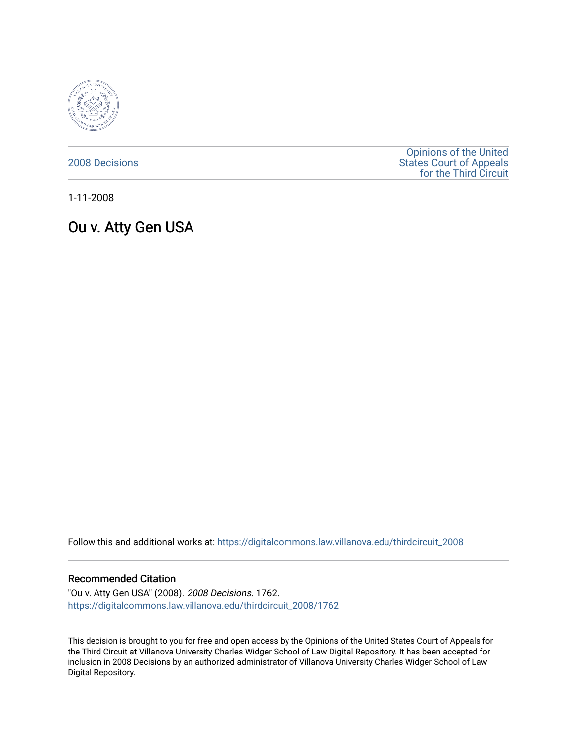

[2008 Decisions](https://digitalcommons.law.villanova.edu/thirdcircuit_2008)

[Opinions of the United](https://digitalcommons.law.villanova.edu/thirdcircuit)  [States Court of Appeals](https://digitalcommons.law.villanova.edu/thirdcircuit)  [for the Third Circuit](https://digitalcommons.law.villanova.edu/thirdcircuit) 

1-11-2008

Ou v. Atty Gen USA

Follow this and additional works at: [https://digitalcommons.law.villanova.edu/thirdcircuit\\_2008](https://digitalcommons.law.villanova.edu/thirdcircuit_2008?utm_source=digitalcommons.law.villanova.edu%2Fthirdcircuit_2008%2F1762&utm_medium=PDF&utm_campaign=PDFCoverPages) 

#### Recommended Citation

"Ou v. Atty Gen USA" (2008). 2008 Decisions. 1762. [https://digitalcommons.law.villanova.edu/thirdcircuit\\_2008/1762](https://digitalcommons.law.villanova.edu/thirdcircuit_2008/1762?utm_source=digitalcommons.law.villanova.edu%2Fthirdcircuit_2008%2F1762&utm_medium=PDF&utm_campaign=PDFCoverPages) 

This decision is brought to you for free and open access by the Opinions of the United States Court of Appeals for the Third Circuit at Villanova University Charles Widger School of Law Digital Repository. It has been accepted for inclusion in 2008 Decisions by an authorized administrator of Villanova University Charles Widger School of Law Digital Repository.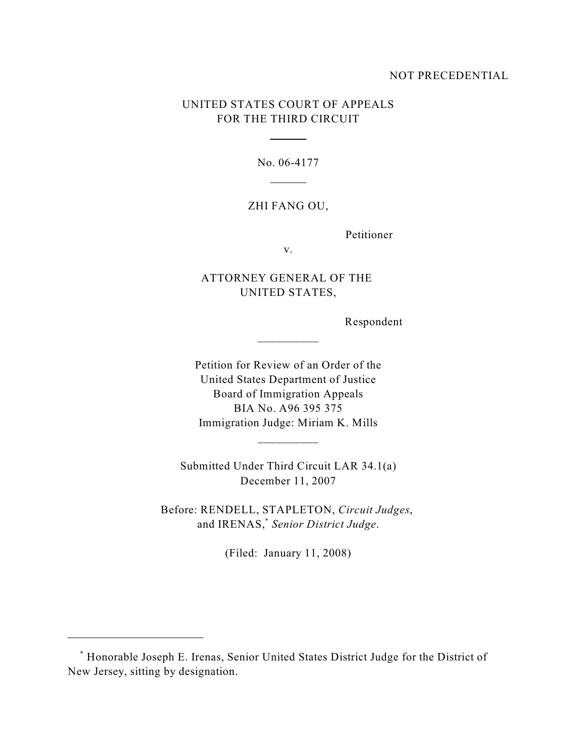## NOT PRECEDENTIAL

# UNITED STATES COURT OF APPEALS FOR THE THIRD CIRCUIT

 $\overline{a}$ 

l

No. 06-4177

## ZHI FANG OU,

Petitioner

v.

# ATTORNEY GENERAL OF THE UNITED STATES,

\_\_\_\_\_\_\_\_\_\_

Respondent

Petition for Review of an Order of the United States Department of Justice Board of Immigration Appeals BIA No. A96 395 375 Immigration Judge: Miriam K. Mills

Submitted Under Third Circuit LAR 34.1(a) December 11, 2007

\_\_\_\_\_\_\_\_\_\_

Before: RENDELL, STAPLETON, *Circuit Judges*, and IRENAS,<sup>\*</sup> Senior District Judge.

(Filed: January 11, 2008)

Honorable Joseph E. Irenas, Senior United States District Judge for the District of \* New Jersey, sitting by designation.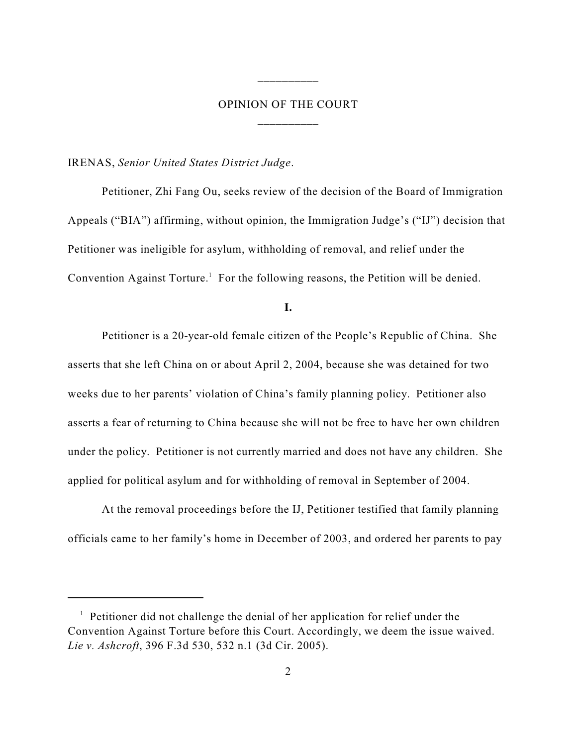# OPINION OF THE COURT \_\_\_\_\_\_\_\_\_\_

\_\_\_\_\_\_\_\_\_\_

IRENAS, *Senior United States District Judge*.

Petitioner, Zhi Fang Ou, seeks review of the decision of the Board of Immigration Appeals ("BIA") affirming, without opinion, the Immigration Judge's ("IJ") decision that Petitioner was ineligible for asylum, withholding of removal, and relief under the Convention Against Torture.<sup>1</sup> For the following reasons, the Petition will be denied.

**I.**

Petitioner is a 20-year-old female citizen of the People's Republic of China. She asserts that she left China on or about April 2, 2004, because she was detained for two weeks due to her parents' violation of China's family planning policy. Petitioner also asserts a fear of returning to China because she will not be free to have her own children under the policy. Petitioner is not currently married and does not have any children. She applied for political asylum and for withholding of removal in September of 2004.

At the removal proceedings before the IJ, Petitioner testified that family planning officials came to her family's home in December of 2003, and ordered her parents to pay

 $\frac{1}{1}$  Petitioner did not challenge the denial of her application for relief under the Convention Against Torture before this Court. Accordingly, we deem the issue waived. *Lie v. Ashcroft*, 396 F.3d 530, 532 n.1 (3d Cir. 2005).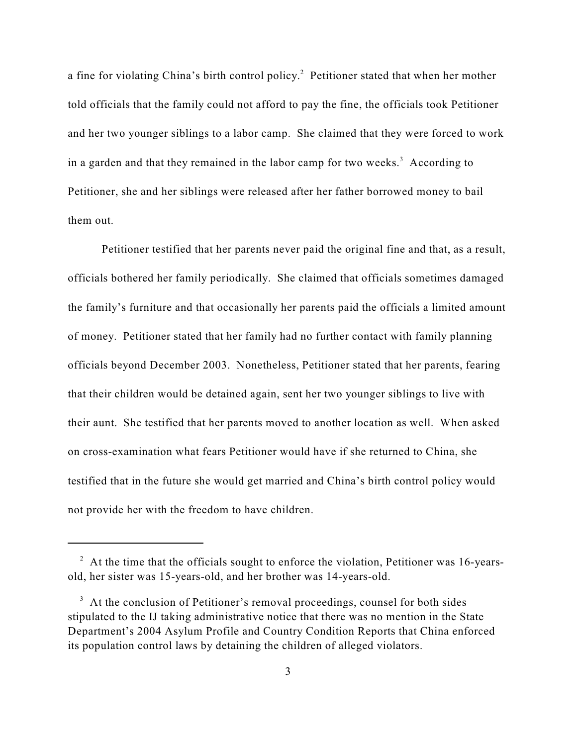a fine for violating China's birth control policy.<sup>2</sup> Petitioner stated that when her mother told officials that the family could not afford to pay the fine, the officials took Petitioner and her two younger siblings to a labor camp. She claimed that they were forced to work in a garden and that they remained in the labor camp for two weeks.<sup>3</sup> According to Petitioner, she and her siblings were released after her father borrowed money to bail them out.

Petitioner testified that her parents never paid the original fine and that, as a result, officials bothered her family periodically. She claimed that officials sometimes damaged the family's furniture and that occasionally her parents paid the officials a limited amount of money. Petitioner stated that her family had no further contact with family planning officials beyond December 2003. Nonetheless, Petitioner stated that her parents, fearing that their children would be detained again, sent her two younger siblings to live with their aunt. She testified that her parents moved to another location as well. When asked on cross-examination what fears Petitioner would have if she returned to China, she testified that in the future she would get married and China's birth control policy would not provide her with the freedom to have children.

 $\lambda$  At the time that the officials sought to enforce the violation, Petitioner was 16-yearsold, her sister was 15-years-old, and her brother was 14-years-old.

 $3\,$  At the conclusion of Petitioner's removal proceedings, counsel for both sides stipulated to the IJ taking administrative notice that there was no mention in the State Department's 2004 Asylum Profile and Country Condition Reports that China enforced its population control laws by detaining the children of alleged violators.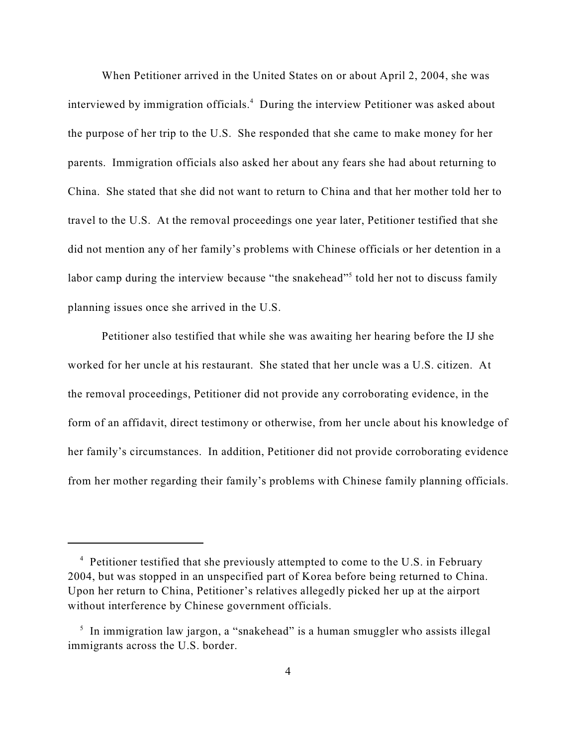When Petitioner arrived in the United States on or about April 2, 2004, she was interviewed by immigration officials.<sup>4</sup> During the interview Petitioner was asked about the purpose of her trip to the U.S. She responded that she came to make money for her parents. Immigration officials also asked her about any fears she had about returning to China. She stated that she did not want to return to China and that her mother told her to travel to the U.S. At the removal proceedings one year later, Petitioner testified that she did not mention any of her family's problems with Chinese officials or her detention in a labor camp during the interview because "the snakehead"<sup>5</sup> told her not to discuss family planning issues once she arrived in the U.S.

Petitioner also testified that while she was awaiting her hearing before the IJ she worked for her uncle at his restaurant. She stated that her uncle was a U.S. citizen. At the removal proceedings, Petitioner did not provide any corroborating evidence, in the form of an affidavit, direct testimony or otherwise, from her uncle about his knowledge of her family's circumstances. In addition, Petitioner did not provide corroborating evidence from her mother regarding their family's problems with Chinese family planning officials.

<sup>&</sup>lt;sup>4</sup> Petitioner testified that she previously attempted to come to the U.S. in February 2004, but was stopped in an unspecified part of Korea before being returned to China. Upon her return to China, Petitioner's relatives allegedly picked her up at the airport without interference by Chinese government officials.

 $\frac{1}{2}$  In immigration law jargon, a "snakehead" is a human smuggler who assists illegal immigrants across the U.S. border.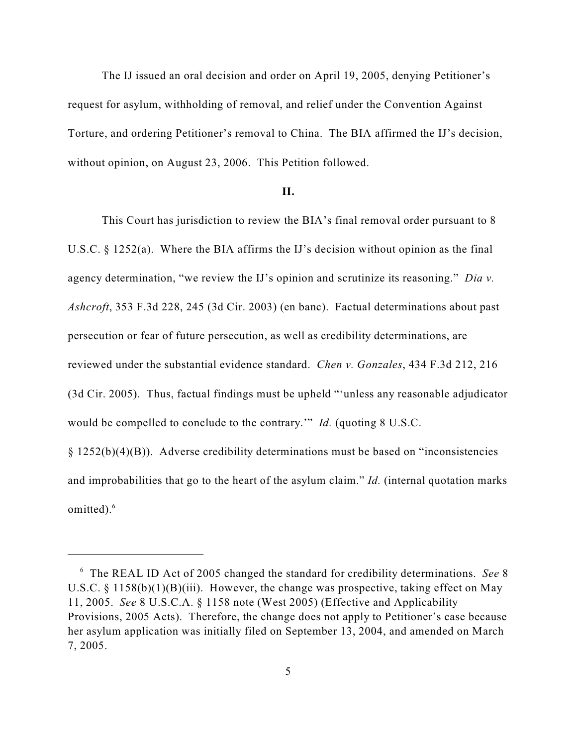The IJ issued an oral decision and order on April 19, 2005, denying Petitioner's request for asylum, withholding of removal, and relief under the Convention Against Torture, and ordering Petitioner's removal to China. The BIA affirmed the IJ's decision, without opinion, on August 23, 2006. This Petition followed.

#### **II.**

This Court has jurisdiction to review the BIA's final removal order pursuant to 8 U.S.C.  $\S$  1252(a). Where the BIA affirms the IJ's decision without opinion as the final agency determination, "we review the IJ's opinion and scrutinize its reasoning." *Dia v. Ashcroft*, 353 F.3d 228, 245 (3d Cir. 2003) (en banc). Factual determinations about past persecution or fear of future persecution, as well as credibility determinations, are reviewed under the substantial evidence standard. *Chen v. Gonzales*, 434 F.3d 212, 216 (3d Cir. 2005). Thus, factual findings must be upheld "'unless any reasonable adjudicator would be compelled to conclude to the contrary.'" *Id.* (quoting 8 U.S.C. § 1252(b)(4)(B)). Adverse credibility determinations must be based on "inconsistencies

and improbabilities that go to the heart of the asylum claim." *Id.* (internal quotation marks omitted).<sup>6</sup>

The REAL ID Act of 2005 changed the standard for credibility determinations. *See* 8 6 U.S.C.  $\S$  1158(b)(1)(B)(iii). However, the change was prospective, taking effect on May 11, 2005. *See* 8 U.S.C.A. § 1158 note (West 2005) (Effective and Applicability Provisions, 2005 Acts). Therefore, the change does not apply to Petitioner's case because her asylum application was initially filed on September 13, 2004, and amended on March 7, 2005.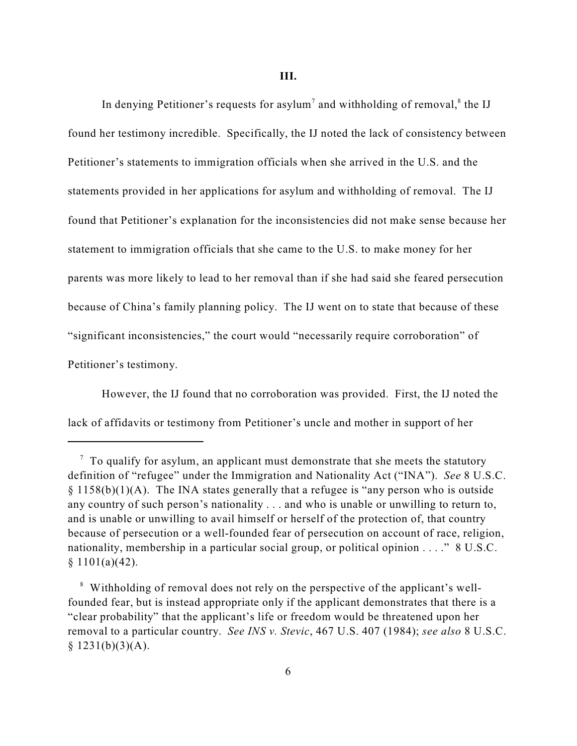In denying Petitioner's requests for asylum<sup>7</sup> and withholding of removal, ${}^8$  the IJ found her testimony incredible. Specifically, the IJ noted the lack of consistency between Petitioner's statements to immigration officials when she arrived in the U.S. and the statements provided in her applications for asylum and withholding of removal. The IJ found that Petitioner's explanation for the inconsistencies did not make sense because her statement to immigration officials that she came to the U.S. to make money for her parents was more likely to lead to her removal than if she had said she feared persecution because of China's family planning policy. The IJ went on to state that because of these "significant inconsistencies," the court would "necessarily require corroboration" of Petitioner's testimony.

However, the IJ found that no corroboration was provided. First, the IJ noted the lack of affidavits or testimony from Petitioner's uncle and mother in support of her

 $\alpha$  To qualify for asylum, an applicant must demonstrate that she meets the statutory definition of "refugee" under the Immigration and Nationality Act ("INA"). *See* 8 U.S.C. § 1158(b)(1)(A). The INA states generally that a refugee is "any person who is outside any country of such person's nationality . . . and who is unable or unwilling to return to, and is unable or unwilling to avail himself or herself of the protection of, that country because of persecution or a well-founded fear of persecution on account of race, religion, nationality, membership in a particular social group, or political opinion . . . ." 8 U.S.C.  $§ 1101(a)(42).$ 

<sup>&</sup>lt;sup>8</sup> Withholding of removal does not rely on the perspective of the applicant's wellfounded fear, but is instead appropriate only if the applicant demonstrates that there is a "clear probability" that the applicant's life or freedom would be threatened upon her removal to a particular country. *See INS v. Stevic*, 467 U.S. 407 (1984); *see also* 8 U.S.C.  $§ 1231(b)(3)(A).$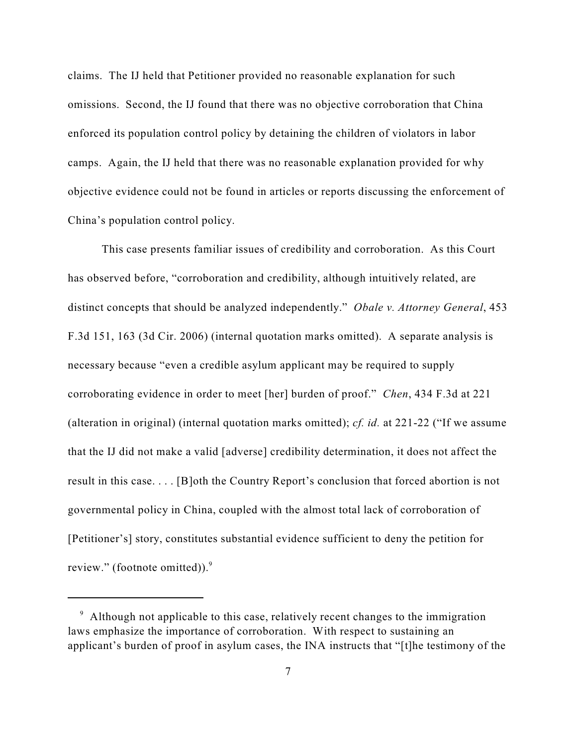claims. The IJ held that Petitioner provided no reasonable explanation for such omissions. Second, the IJ found that there was no objective corroboration that China enforced its population control policy by detaining the children of violators in labor camps. Again, the IJ held that there was no reasonable explanation provided for why objective evidence could not be found in articles or reports discussing the enforcement of China's population control policy.

This case presents familiar issues of credibility and corroboration. As this Court has observed before, "corroboration and credibility, although intuitively related, are distinct concepts that should be analyzed independently." *Obale v. Attorney General*, 453 F.3d 151, 163 (3d Cir. 2006) (internal quotation marks omitted). A separate analysis is necessary because "even a credible asylum applicant may be required to supply corroborating evidence in order to meet [her] burden of proof." *Chen*, 434 F.3d at 221 (alteration in original) (internal quotation marks omitted); *cf. id.* at 221-22 ("If we assume that the IJ did not make a valid [adverse] credibility determination, it does not affect the result in this case. . . . [B]oth the Country Report's conclusion that forced abortion is not governmental policy in China, coupled with the almost total lack of corroboration of [Petitioner's] story, constitutes substantial evidence sufficient to deny the petition for review." (footnote omitted)).<sup>9</sup>

<sup>&</sup>lt;sup>9</sup> Although not applicable to this case, relatively recent changes to the immigration laws emphasize the importance of corroboration. With respect to sustaining an applicant's burden of proof in asylum cases, the INA instructs that "[t]he testimony of the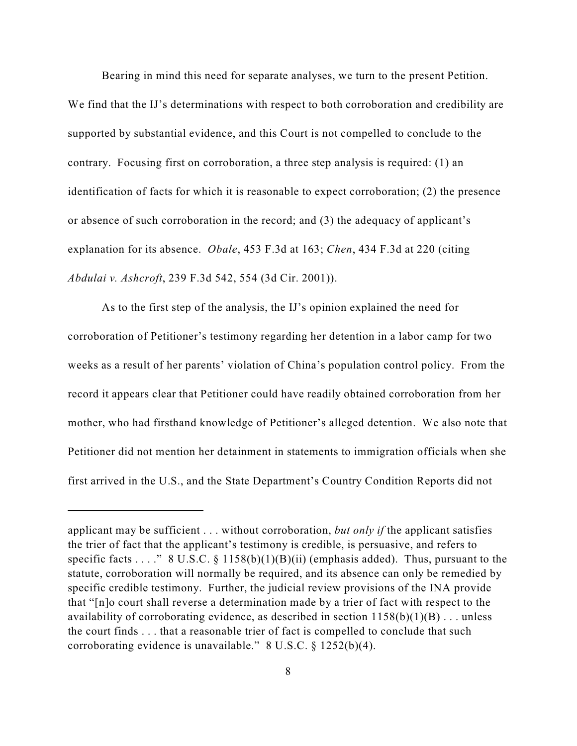Bearing in mind this need for separate analyses, we turn to the present Petition.

We find that the IJ's determinations with respect to both corroboration and credibility are supported by substantial evidence, and this Court is not compelled to conclude to the contrary. Focusing first on corroboration, a three step analysis is required: (1) an identification of facts for which it is reasonable to expect corroboration; (2) the presence or absence of such corroboration in the record; and (3) the adequacy of applicant's explanation for its absence. *Obale*, 453 F.3d at 163; *Chen*, 434 F.3d at 220 (citing *Abdulai v. Ashcroft*, 239 F.3d 542, 554 (3d Cir. 2001)).

As to the first step of the analysis, the IJ's opinion explained the need for corroboration of Petitioner's testimony regarding her detention in a labor camp for two weeks as a result of her parents' violation of China's population control policy. From the record it appears clear that Petitioner could have readily obtained corroboration from her mother, who had firsthand knowledge of Petitioner's alleged detention. We also note that Petitioner did not mention her detainment in statements to immigration officials when she first arrived in the U.S., and the State Department's Country Condition Reports did not

applicant may be sufficient . . . without corroboration, *but only if* the applicant satisfies the trier of fact that the applicant's testimony is credible, is persuasive, and refers to specific facts . . . . "  $8 \text{ U.S.C.} \$   $1158(b)(1)(B)(ii)$  (emphasis added). Thus, pursuant to the statute, corroboration will normally be required, and its absence can only be remedied by specific credible testimony. Further, the judicial review provisions of the INA provide that "[n]o court shall reverse a determination made by a trier of fact with respect to the availability of corroborating evidence, as described in section  $1158(b)(1)(B)$ ... unless the court finds . . . that a reasonable trier of fact is compelled to conclude that such corroborating evidence is unavailable." 8 U.S.C. § 1252(b)(4).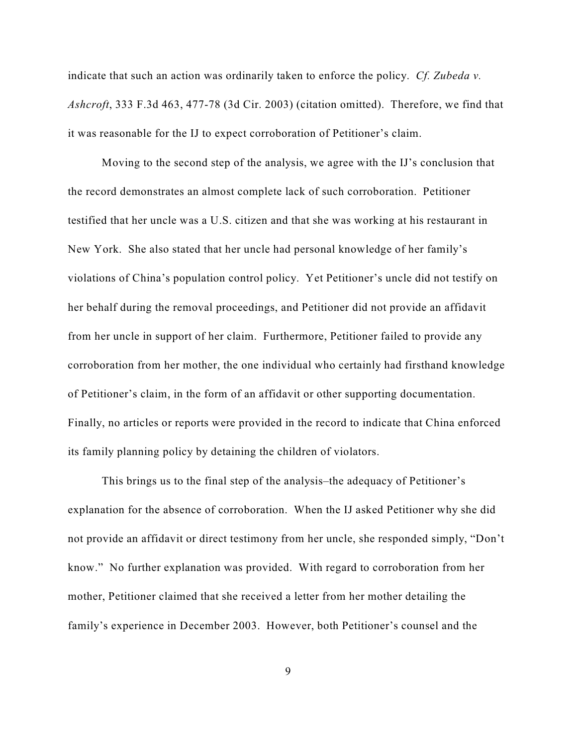indicate that such an action was ordinarily taken to enforce the policy. *Cf. Zubeda v. Ashcroft*, 333 F.3d 463, 477-78 (3d Cir. 2003) (citation omitted). Therefore, we find that it was reasonable for the IJ to expect corroboration of Petitioner's claim.

Moving to the second step of the analysis, we agree with the IJ's conclusion that the record demonstrates an almost complete lack of such corroboration. Petitioner testified that her uncle was a U.S. citizen and that she was working at his restaurant in New York. She also stated that her uncle had personal knowledge of her family's violations of China's population control policy. Yet Petitioner's uncle did not testify on her behalf during the removal proceedings, and Petitioner did not provide an affidavit from her uncle in support of her claim. Furthermore, Petitioner failed to provide any corroboration from her mother, the one individual who certainly had firsthand knowledge of Petitioner's claim, in the form of an affidavit or other supporting documentation. Finally, no articles or reports were provided in the record to indicate that China enforced its family planning policy by detaining the children of violators.

This brings us to the final step of the analysis–the adequacy of Petitioner's explanation for the absence of corroboration. When the IJ asked Petitioner why she did not provide an affidavit or direct testimony from her uncle, she responded simply, "Don't know." No further explanation was provided. With regard to corroboration from her mother, Petitioner claimed that she received a letter from her mother detailing the family's experience in December 2003. However, both Petitioner's counsel and the

9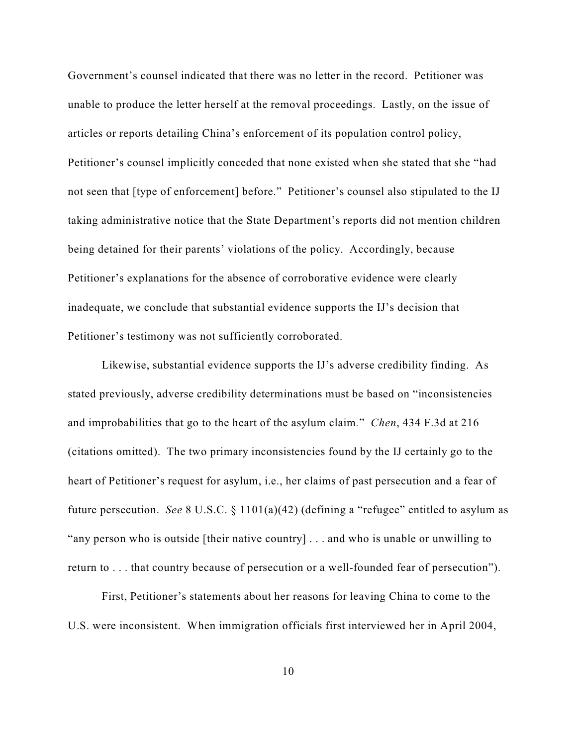Government's counsel indicated that there was no letter in the record. Petitioner was unable to produce the letter herself at the removal proceedings. Lastly, on the issue of articles or reports detailing China's enforcement of its population control policy, Petitioner's counsel implicitly conceded that none existed when she stated that she "had not seen that [type of enforcement] before." Petitioner's counsel also stipulated to the IJ taking administrative notice that the State Department's reports did not mention children being detained for their parents' violations of the policy. Accordingly, because Petitioner's explanations for the absence of corroborative evidence were clearly inadequate, we conclude that substantial evidence supports the IJ's decision that Petitioner's testimony was not sufficiently corroborated.

Likewise, substantial evidence supports the IJ's adverse credibility finding. As stated previously, adverse credibility determinations must be based on "inconsistencies and improbabilities that go to the heart of the asylum claim*.*" *Chen*, 434 F.3d at 216 (citations omitted). The two primary inconsistencies found by the IJ certainly go to the heart of Petitioner's request for asylum, i.e., her claims of past persecution and a fear of future persecution. *See* 8 U.S.C. § 1101(a)(42) (defining a "refugee" entitled to asylum as "any person who is outside [their native country] . . . and who is unable or unwilling to return to . . . that country because of persecution or a well-founded fear of persecution").

First, Petitioner's statements about her reasons for leaving China to come to the U.S. were inconsistent. When immigration officials first interviewed her in April 2004,